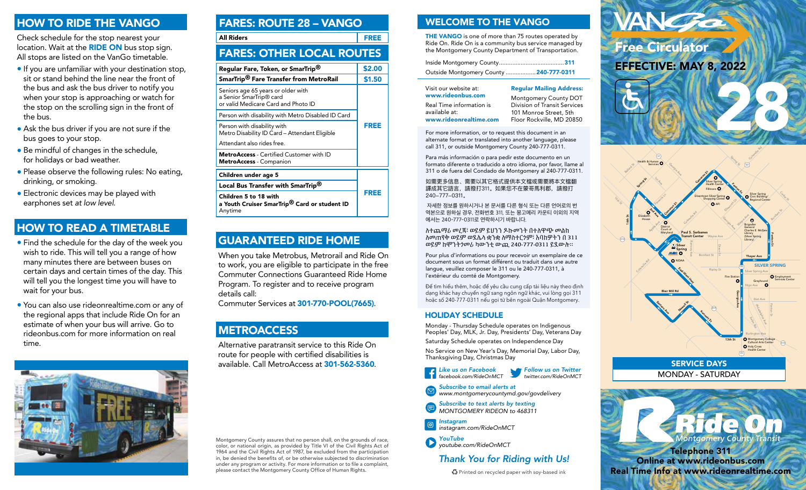### HOW TO RIDE THE VANGO

Check schedule for the stop nearest your location. Wait at the **RIDE ON** bus stop sign. All stops are listed on the VanGo timetable.

- If you are unfamiliar with your destination stop, sit or stand behind the line near the front of the bus and ask the bus driver to notify you when your stop is approaching or watch for the stop on the scrolling sign in the front of the bus.
- Ask the bus driver if you are not sure if the bus goes to your stop.
- Be mindful of changes in the schedule, for holidays or bad weather.
- Please observe the following rules: No eating, drinking, or smoking.
- Electronic devices may be played with earphones set *at low level*.

# HOW TO READ A TIMETABLE

- Find the schedule for the day of the week you wish to ride. This will tell you a range of how many minutes there are between buses on certain days and certain times of the day. This will tell you the longest time you will have to wait for your bus.
- You can also use rideonrealtime.com or any of the regional apps that include Ride On for an estimate of when your bus will arrive. Go to rideonbus.com for more information on real time.



| <b>FARES: ROUTE 28 - VANGO</b>                                                                                   |             |  |
|------------------------------------------------------------------------------------------------------------------|-------------|--|
| <b>All Riders</b>                                                                                                | <b>FREE</b> |  |
| <b>FARES: OTHER LOCAL ROUTES</b>                                                                                 |             |  |
| Regular Fare, Token, or SmarTrip®                                                                                | \$2.00      |  |
| SmarTrip <sup>®</sup> Fare Transfer from MetroRail                                                               | \$1.50      |  |
| Seniors age 65 years or older with<br>a Senior SmarTrip <sup>®</sup> card<br>or valid Medicare Card and Photo ID |             |  |
| Person with disability with Metro Disabled ID Card                                                               | FREE        |  |
| Person with disability with<br>Metro Disability ID Card - Attendant Eligible                                     |             |  |
| Attendant also rides free.                                                                                       |             |  |
| <b>MetroAccess</b> - Certified Customer with ID<br><b>MetroAccess</b> - Companion                                |             |  |
| Children under age 5                                                                                             |             |  |
| Local Bus Transfer with SmarTrip <sup>®</sup>                                                                    |             |  |
| Children 5 to 18 with<br>a Youth Cruiser SmarTrip <sup>®</sup> Card or student ID<br>Anytime                     | <b>FREE</b> |  |

# GUARANTEED RIDE HOME

When you take Metrobus, Metrorail and Ride On to work, you are eligible to participate in the free Commuter Connections Guaranteed Ride Home Program. To register and to receive program details call:

Commuter Services at 301-770-POOL(7665).

# **METROACCESS**

Alternative paratransit service to this Ride On route for people with certified disabilities is available. Call MetroAccess at 301-562-5360.

Montgomery County assures that no person shall, on the grounds of race, color, or national origin, as provided by Title VI of the Civil Rights Act of 1964 and the Civil Rights Act of 1987, be excluded from the participation in, be denied the benefits of, or be otherwise subjected to discrimination under any program or activity. For more information or to file a complaint, please contact the Montgomery County Office of Human Rights.

# WELCOME TO THE VANGO

THE VANGO is one of more than 75 routes operated by Ride On. Ride On is a community bus service managed by the Montgomery County Department of Transportation.

| Outside Montgomery County  240-777-0311 |  |
|-----------------------------------------|--|

| Visit our website at:    | <b>Regular Mailing Address:</b> |
|--------------------------|---------------------------------|
| www.rideonbus.com        | Montgomery County DOT           |
| Real Time information is | Division of Transit Services    |
| available at:            | 101 Monroe Street, 5th          |
| www.rideonrealtime.com   | Floor Rockville, MD 20850       |

For more information, or to request this document in an alternate format or translated into another language, please call 311, or outside Montgomery County 240-777-0311.

Para más información o para pedir este documento en un formato diferente o traducido a otro idioma, por favor, llame al 311 o de fuera del Condado de Montgomery al 240-777-0311.

如需更多信息、需要以其它格式提供本文檔或需要將本文檔翻 譯成其它語言,請撥打311。如果您不在蒙哥馬利郡,請撥打 240-777-0311

 자세한 정보를 원하시거나 본 문서를 다른 형식 또는 다른 언어로의 번 역본으로 원하실 경우, 전화번호 311, 또는 몽고메리 카운티 이외의 지역 에서는 240-777-0311로 연락하시기 바랍니다.

ለተጨማሪ መረጃ፣ ወይም ይህንን ዶኩመንት በተለዋጭ መልክ ለመጠየቅ ወይም ወደሌላ ቋንቋ ለማስተርጎም፣ እባከዎትን በ 311 ወይም ከሞንትጎመሪ ካውንቲ ውጪ 240-777-0311 ይደውሉ።

Pour plus d'informations ou pour recevoir un exemplaire de ce document sous un format différent ou traduit dans une autre langue, veuillez composer le 311 ou le 240-777-0311, à l'extérieur du comté de Montgomery.

Để tìm hiểu thêm, hoặc để yêu cầu cung cấp tài liệu này theo định dạng khác hay chuyển ngữ sang ngôn ngữ khác, vui lòng gọi 311 hoặc số 240-777-0311 nếu gọi từ bên ngoài Quận Montgomery.

### HOLIDAY SCHEDULE

Monday - Thursday Schedule operates on Indigenous Peoples' Day, MLK, Jr. Day, Presidents' Day, Veterans Day

Saturday Schedule operates on Independence Day

No Service on New Year's Day, Memorial Day, Labor Day, Thanksgiving Day, Christmas Day

> *Follow us on Twitter twitter.com/RideOnMCT*



- *Subscribe to email alerts at www.montgomerycountymd.gov/govdelivery*
- *Subscribe to text alerts by texting MONTGOMERY RIDEON to 468311*
- *Instagram* | ල *instagram.com/RideOnMCT*

*YouTube youtube.com/RideOnMCT*

## *Thank You for Riding with Us!*

Printed on recycled paper with soy-based ink





### MONDAY - SATURDAY